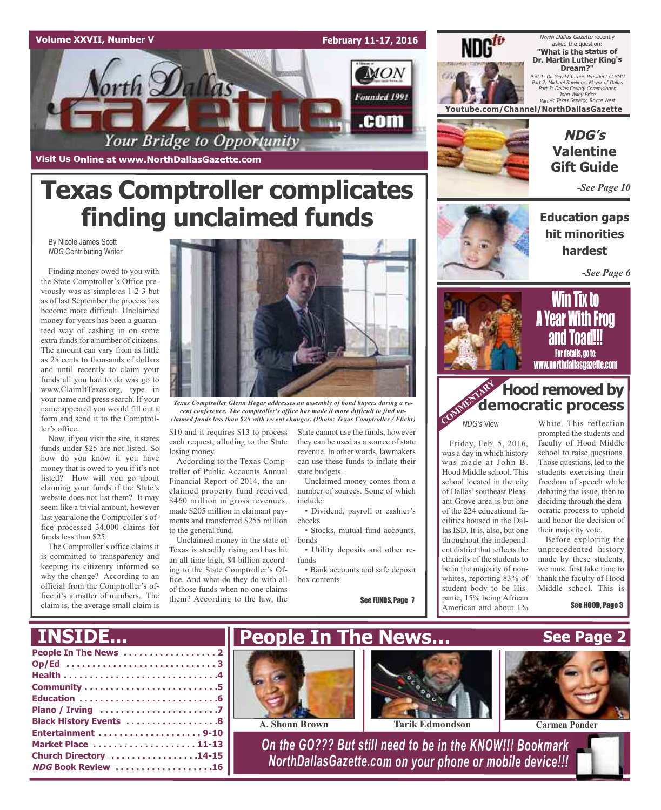

**Texas Comptroller complicates**

**finding unclaimed funds**

North Dallas Gazette recently asked the question: **"What is the status of Dr. Martin Luther King's Dream?"**

Part 1: Dr. Gerald Turner, President of SMU Part 2: Michael Rawlings, Mayor of Dallas Part 3: Dallas County Commisioner, John Wiley Price Part 4: Texas Senator, Royce West

**Youtube.com/Channel/NorthDallasGazette**



## **NDG's Valentine Gift Guide**

*-See Page 10*

**Education gaps hit minorities hardest**

*-See Page 6*



### Win Tix to A Year With Frog anu Toanii**:** For details, go to: www.northdallasgazette.com

## **Hood removed by**<br> **COMMERTARY democratic process democratic process**

*NDG's* View

Friday, Feb. 5, 2016, was a day in which history was made at John B. Hood Middle school. This school located in the city of Dallas'southeast Pleasant Grove area is but one of the 224 educational facilities housed in the Dallas ISD. It is, also, but one throughout the independent district that reflects the ethnicity of the students to be in the majority of nonwhites, reporting 83% of student body to be Hispanic, 15% being African American and about 1%

White. This reflection prompted the students and faculty of Hood Middle school to raise questions. Those questions, led to the students exercising their freedom of speech while debating the issue, then to deciding through the democratic process to uphold and honor the decision of their majority vote.

Before exploring the unprecedented history made by these students, we must first take time to thank the faculty of Hood Middle school. This is

See HOOD, Page 3



*Texas Comptroller Glenn Hegar addresses an assembly of bond buyers during a recent conference. The comptroller's office has made it more difficult to find unclaimed funds less than \$25 with recent changes. (Photo: Texas Comptroller / Flickr)*

\$10 and it requires \$13 to process each request, alluding to the State losing money.

According to the Texas Comptroller of Public Accounts Annual Financial Report of 2014, the unclaimed property fund received \$460 million in gross revenues, made \$205 million in claimant payments and transferred \$255 million to the general fund.

Unclaimed money in the state of Texas is steadily rising and has hit an all time high, \$4 billion according to the State Comptroller's Office. And what do they do with all of those funds when no one claims them? According to the law, the

State cannot use the funds, however they can be used as a source of state revenue. In other words, lawmakers can use these funds to inflate their state budgets.

Unclaimed money comes from a number of sources. Some of which include:

• Dividend, payroll or cashier's checks

• Stocks, mutual fund accounts, bonds

• Utility deposits and other refunds

• Bank accounts and safe deposit box contents

See FUNDS, Page 7





By Nicole James Scott *NDG* Contributing Writer

Finding money owed to you with the State Comptroller's Office previously was as simple as 1-2-3 but as of last September the process has become more difficult. Unclaimed money for years has been a guaranteed way of cashing in on some extra funds for a number of citizens. The amount can vary from as little as 25 cents to thousands of dollars and until recently to claim your funds all you had to do was go to www.ClaimItTexas.org, type in your name and press search. If your name appeared you would fill out a form and send it to the Comptroller's office.

Now, if you visit the site, it states funds under \$25 are not listed. So how do you know if you have money that is owed to you if it's not listed? How will you go about claiming your funds if the State's website does not list them? It may seem like a trivial amount, however last year alone the Comptroller's office processed 34,000 claims for funds less than \$25.

The Comptroller's office claims it is committed to transparency and keeping its citizenry informed so why the change? According to an official from the Comptroller's office it's a matter of numbers. The claim is, the average small claim is

**NDG Book Review . . . . . . . . . . . . . . . . . . .16**

**INSIDE...**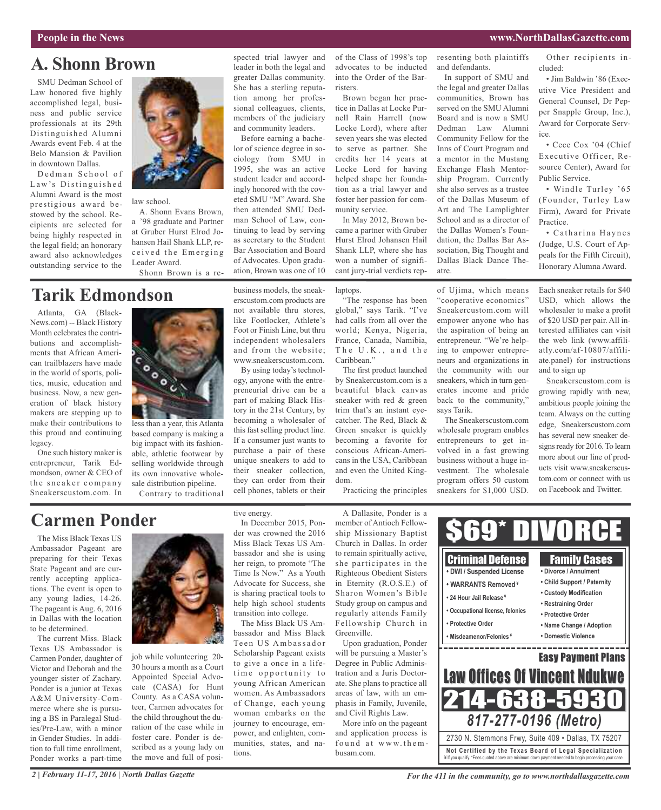## **A. Shonn Brown**

SMU Dedman School of Law honored five highly accomplished legal, business and public service professionals at its 29th Distinguished Alumni Awards event Feb. 4 at the Belo Mansion & Pavilion in downtown Dallas.

Dedman School of Law's Distinguished Alumni Award is the most prestigious award bestowed by the school. Recipients are selected for being highly respected in the legal field; an honorary award also acknowledges outstanding service to the



law school.

A. Shonn Evans Brown, a '98 graduate and Partner at Gruber Hurst Elrod Johansen Hail Shank LLP, received the Emerging Leader Award. Shonn Brown is a re-

## **Tarik Edmondson**

Atlanta, GA (Black-News.com) -- Black History Month celebrates the contributions and accomplishments that African American trailblazers have made in the world of sports, politics, music, education and business. Now, a new generation of black history makers are stepping up to make their contributions to this proud and continuing legacy.

One such history maker is entrepreneur, Tarik Edmondson, owner & CEO of the sneaker company Sneakerscustom.com. In



less than a year, this Atlanta based company is making a big impact with its fashionable, athletic footwear by selling worldwide through its own innovative wholesale distribution pipeline. Contrary to traditional

spected trial lawyer and leader in both the legal and greater Dallas community. She has a sterling reputation among her professional colleagues, clients, members of the judiciary and community leaders.

Before earning a bachelor of science degree in sociology from SMU in 1995, she was an active student leader and accordingly honored with the coveted SMU "M" Award. She then attended SMU Dedman School of Law, continuing to lead by serving as secretary to the Student Bar Association and Board of Advocates. Upon graduation, Brown was one of 10

business models, the sneakerscustom.com products are not available thru stores, like Footlocker, Athlete's Foot or Finish Line, but thru independent wholesalers and from the website; www.sneakerscustom.com.

By using today's technology, anyone with the entrepreneurial drive can be a part of making Black History in the 21st Century, by becoming a wholesaler of this fast selling product line. If a consumer just wants to purchase a pair of these unique sneakers to add to their sneaker collection, they can order from their cell phones, tablets or their

of the Class of 1998's top advocates to be inducted into the Order of the Barristers.

Brown began her practice in Dallas at Locke Purnell Rain Harrell (now Locke Lord), where after seven years she was elected to serve as partner. She credits her 14 years at Locke Lord for having helped shape her foundation as a trial lawyer and foster her passion for community service.

In May 2012, Brown became a partner with Gruber Hurst Elrod Johansen Hail Shank LLP, where she has won a number of significant jury-trial verdicts rep-

laptops.

"The response has been global," says Tarik. "I've had calls from all over the world; Kenya, Nigeria, France, Canada, Namibia, The U.K., and the Caribbean."

The first product launched by Sneakercustom.com is a beautiful black canvas sneaker with red & green trim that's an instant eyecatcher. The Red, Black & Green sneaker is quickly becoming a favorite for conscious African-Americans in the USA, Caribbean and even the United Kingdom.

Practicing the principles

resenting both plaintiffs and defendants.

In support of SMU and the legal and greater Dallas communities, Brown has served on the SMU Alumni Board and is now a SMU Dedman Law Alumni Community Fellow for the Inns of Court Program and a mentor in the Mustang Exchange Flash Mentorship Program. Currently she also serves as a trustee of the Dallas Museum of Art and The Lamplighter School and as a director of the Dallas Women's Foundation, the Dallas Bar Association, Big Thought and Dallas Black Dance Theatre.

of Ujima, which means "cooperative economics" Sneakercustom.com will empower anyone who has the aspiration of being an entrepreneur. "We're helping to empower entrepreneurs and organizations in the community with our sneakers, which in turn generates income and pride back to the community," says Tarik.

The Sneakerscustom.com wholesale program enables entrepreneurs to get involved in a fast growing business without a huge investment. The wholesale program offers 50 custom sneakers for \$1,000 USD.

Other recipients included:

• Jim Baldwin '86 (Executive Vice President and General Counsel, Dr Pepper Snapple Group, Inc.), Award for Corporate Service.

• Cece Cox '04 (Chief Executive Officer, Resource Center), Award for Public Service.

• Windle Turley '65 (Founder, Turley Law Firm), Award for Private Practice.

• Catharina Haynes (Judge, U.S. Court of Appeals for the Fifth Circuit), Honorary Alumna Award.

Each sneaker retails for \$40 USD, which allows the wholesaler to make a profit of \$20 USD per pair. All interested affiliates can visit the web link (www.affiliatly.com/af-10807/affiliate.panel) for instructions and to sign up

Sneakerscustom.com is growing rapidly with new, ambitious people joining the team. Always on the cutting edge, Sneakerscustom.com has several new sneaker designs ready for 2016. To learn more about our line of products visit www.sneakerscustom.com or connect with us on Facebook and Twitter.

## **Carmen Ponder**

The Miss Black Texas US Ambassador Pageant are preparing for their Texas State Pageant and are currently accepting applications. The event is open to any young ladies, 14-26. The pageant is Aug. 6, 2016 in Dallas with the location to be determined.

The current Miss. Black Texas US Ambassador is Carmen Ponder, daughter of Victor and Deborah and the younger sister of Zachary. Ponder is a junior at Texas A&M University-Commerce where she is pursuing a BS in Paralegal Studies/Pre-Law, with a minor in Gender Studies. In addition to full time enrollment, Ponder works a part-time



job while volunteering 20- 30 hours a month as a Court Appointed Special Advocate (CASA) for Hunt County. As a CASA volunteer, Carmen advocates for the child throughout the duration of the case while in foster care. Ponder is described as a young lady on the move and full of positive energy.

In December 2015, Ponder was crowned the 2016 Miss Black Texas US Ambassador and she is using her reign, to promote "The Time Is Now." As a Youth Advocate for Success, she is sharing practical tools to help high school students transition into college.

The Miss Black US Ambassador and Miss Black Teen US Ambassador Scholarship Pageant exists to give a once in a lifetime opportunity to young African American women. As Ambassadors of Change, each young woman embarks on the journey to encourage, empower, and enlighten, communities, states, and nations.

A Dallasite, Ponder is a member of Antioch Fellowship Missionary Baptist Church in Dallas. In order to remain spiritually active, she participates in the Righteous Obedient Sisters in Eternity (R.O.S.E.) of Sharon Women's Bible Study group on campus and regularly attends Family Fellowship Church in Greenville.

Upon graduation, Ponder will be pursuing a Master's Degree in Public Administration and a Juris Doctorate. She plans to practice all areas of law, with an emphasis in Family, Juvenile, and Civil Rights Law.

More info on the pageant and application process is found at www.thembusam.com.



¥ If you qualify. \*Fees quoted above are minimum down payment needed to begin processing your case.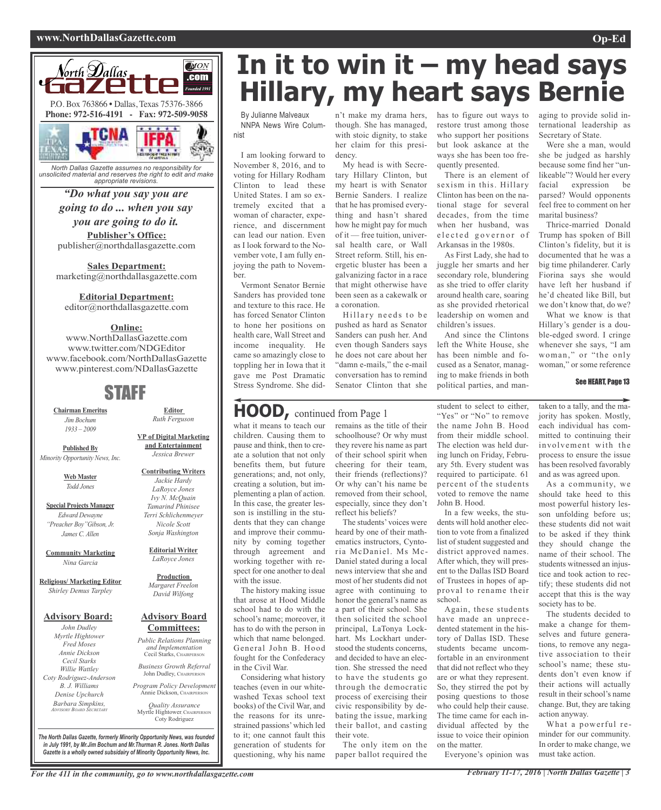#### **www.NorthDallasGazette.com Op-Ed**



*North Dallas Gazette assumes no responsibility for unsolicited material and reserves the right to edit and make appropriate revisions.*

#### *"Do what you say you are going to do ... when you say you are going to do it.*

**Publisher's Office:** publisher@northdallasgazette.com

**Sales Department:** marketing@northdallasgazette.com

#### **Editorial Department:**

editor@northdallasgazette.com

#### **Online:**

www.NorthDallasGazette.com www.twitter.com/NDGEditor www.facebook.com/NorthDallasGazette www.pinterest.com/NDallasGazette

## STAFF

**Chairman Emeritus** *Jim Bochum 1933 – 2009*

**Published By** *Minority Opportunity News, Inc.*

> **Web Master** *Todd Jones*

**Special Projects Manager** *Edward Dewayne "Preacher Boy"Gibson, Jr. James C. Allen*

**Community Marketing** *Nina Garcia*

**Religious/ Marketing Editor** *Shirley Demus Tarpley*

#### **Advisory Board:**

*John Dudley Myrtle Hightower Fred Moses Annie Dickson Cecil Starks Willie Wattley Coty Rodriguez-Anderson B. J. Williams Denise Upchurch Barbara Simpkins, ADVISORY BOARD SECRETARY*

**VP of Digital Marketing**

**Contributing Writers** *Jackie Hardy LaRoyce Jones Ivy N. McQuain Tamarind Phinisee Terri Schlichenmeyer*

> **Editorial Writer** *LaRoyce Jones*

*Sonja Washington*

**Production** *Margaret Freelon David Wilfong*

#### **Advisory Board Committees:**

*Public Relations Planning and Implementation* Cecil Starks, CHAIRPERSON

*Business Growth Referral* John Dudley, CHAIRPERSON

*Program Policy Development* Annie Dickson, Chairper

*Quality Assurance* Myrtle Hightower, CHAIRPERSON Coty Rodriguez

**In it to win it – my head says Hillary, my heart says Bernie**

By Julianne Malveaux NNPA News Wire Columnist

I am looking forward to November 8, 2016, and to voting for Hillary Rodham Clinton to lead these United States. I am so extremely excited that a woman of character, experience, and discernment can lead our nation. Even as I look forward to the November vote, I am fully enjoying the path to November.

Vermont Senator Bernie Sanders has provided tone and texture to this race. He has forced Senator Clinton to hone her positions on health care, Wall Street and income inequality. He came so amazingly close to toppling her in Iowa that it gave me Post Dramatic Stress Syndrome. She did-

## **HOOD,** continued from Page <sup>1</sup>

what it means to teach our children. Causing them to pause and think, then to create a solution that not only benefits them, but future generations; and, not only, creating a solution, but implementing a plan of action. In this case, the greater lesson is instilling in the students that they can change and improve their community by coming together through agreement and working together with respect for one another to deal with the issue.

The history making issue that arose at Hood Middle school had to do with the school's name; moreover, it has to do with the person in which that name belonged. General John B. Hood fought for the Confederacy in the Civil War.

Considering what history teaches (even in our whitewashed Texas school text books) of the Civil War, and the reasons for its unrestrained passions'which led to it; one cannot fault this generation of students for questioning, why his name

n't make my drama hers, though. She has managed, with stoic dignity, to stake her claim for this presidency.

My head is with Secretary Hillary Clinton, but my heart is with Senator Bernie Sanders. I realize that he has promised everything and hasn't shared how he might pay for much of it — free tuition, universal health care, or Wall Street reform. Still, his energetic bluster has been a galvanizing factor in a race that might otherwise have been seen as a cakewalk or a coronation.

Hillary needs to be pushed as hard as Senator Sanders can push her. And even though Sanders says he does not care about her "damn e-mails," the e-mail conversation has to remind Senator Clinton that she

remains as the title of their schoolhouse? Or why must they revere his name as part of their school spirit when cheering for their team, their friends (reflections)? Or why can't his name be removed from their school, especially, since they don't reflect his beliefs?

The students' voices were heard by one of their mathematics instructors, Cyntoria McDaniel. Ms Mc-Daniel stated during a local news interview that she and most of her students did not agree with continuing to honor the general's name as a part of their school. She then solicited the school principal, LaTonya Lockhart. Ms Lockhart understood the students concerns, and decided to have an election. She stressed the need to have the students go through the democratic process of exercising their civic responsibility by debating the issue, marking their ballot, and casting their vote.

The only item on the paper ballot required the

has to figure out ways to restore trust among those who support her positions but look askance at the ways she has been too frequently presented.

There is an element of sexism in this. Hillary Clinton has been on the national stage for several decades, from the time when her husband, was elected governor of Arkansas in the 1980s.

As First Lady, she had to juggle her smarts and her secondary role, blundering as she tried to offer clarity around health care, soaring as she provided rhetorical leadership on women and children's issues.

And since the Clintons left the White House, she has been nimble and focused as a Senator, managing to make friends in both political parties, and man-

student to select to either, "Yes" or "No" to remove the name John B. Hood from their middle school. The election was held during lunch on Friday, February 5th. Every student was required to participate. 61 percent of the students voted to remove the name John B. Hood.

In a few weeks, the students will hold another election to vote from a finalized list of student suggested and district approved names. After which, they will present to the Dallas ISD Board of Trustees in hopes of approval to rename their school.

Again, these students have made an unprecedented statement in the history of Dallas ISD. These students became uncomfortable in an environment that did not reflect who they are or what they represent. So, they stirred the pot by posing questions to those who could help their cause. The time came for each individual affected by the issue to voice their opinion on the matter.

Everyone's opinion was

aging to provide solid international leadership as Secretary of State.

Were she a man, would she be judged as harshly because some find her "unlikeable"? Would her every facial expression be parsed? Would opponents feel free to comment on her marital business?

Thrice-married Donald Trump has spoken of Bill Clinton's fidelity, but it is documented that he was a big time philanderer. Carly Fiorina says she would have left her husband if he'd cheated like Bill, but we don't know that, do we?

What we know is that Hillary's gender is a double-edged sword. I cringe whenever she says, "I am woman," or "the only woman," or some reference

#### See HEART, Page 13

taken to a tally, and the majority has spoken. Mostly, each individual has committed to continuing their involvement with the process to ensure the issue has been resolved favorably and as was agreed upon.

As a community, we should take heed to this most powerful history lesson unfolding before us; these students did not wait to be asked if they think they should change the name of their school. The students witnessed an injustice and took action to rectify; these students did not accept that this is the way society has to be.

The students decided to make a change for themselves and future generations, to remove any negative association to their school's name; these students don't even know if their actions will actually result in their school's name change. But, they are taking action anyway.

What a powerful reminder for our community. In order to make change, we must take action.

*The North Dallas Gazette, formerly Minority Opportunity News, was founded in July 1991, by Mr.Jim Bochum and Mr.Thurman R. Jones. North Dallas Gazette is a wholly owned subsidairy of Minority Opportunity News, Inc.*



**and Entertainment** *Jessica Brewer*

**Editor** *Ruth Ferguson*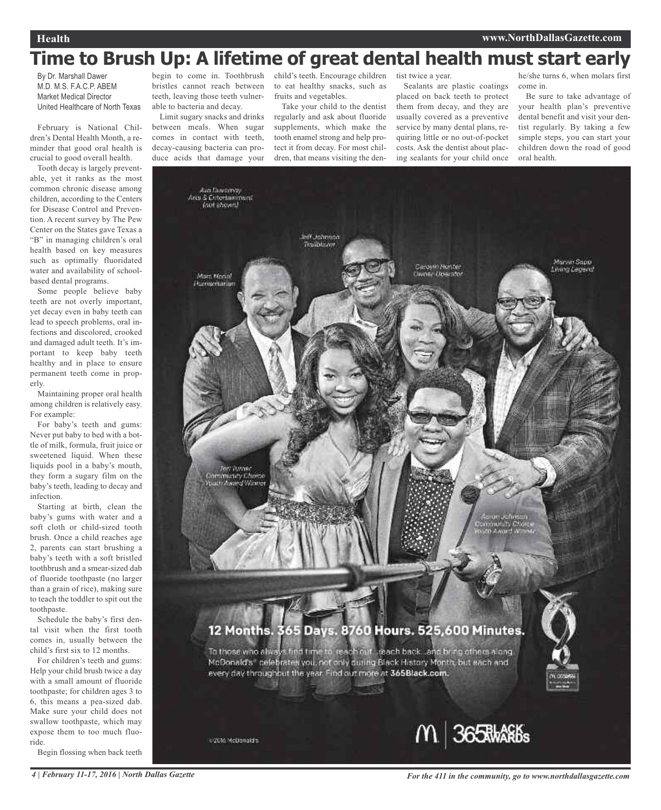## **Time to Brush Up: A lifetime of great dental health must start early**

By Dr. Marshall Dawer M.D. M.S. F.A.C.P. ABEM Market Medical Director United Healthcare of North Texas

February is National Children's Dental Health Month, a reminder that good oral health is crucial to good overall health.

Tooth decay is largely preventable, yet it ranks as the most common chronic disease among children, according to the Centers for Disease Control and Prevention. A recent survey by The Pew Center on the States gave Texas a "B" in managing children's oral health based on key measures such as optimally fluoridated water and availability of schoolbased dental programs.

Some people believe baby teeth are not overly important, yet decay even in baby teeth can lead to speech problems, oral infections and discolored, crooked and damaged adult teeth. It's important to keep baby teeth healthy and in place to ensure permanent teeth come in properly.

Maintaining proper oral health among children is relatively easy. For example:

For baby's teeth and gums: Never put baby to bed with a bottle of milk, formula, fruit juice or sweetened liquid. When these liquids pool in a baby's mouth, they form a sugary film on the baby's teeth, leading to decay and infection.

Starting at birth, clean the baby's gums with water and a soft cloth or child-sized tooth brush. Once a child reaches age 2, parents can start brushing a baby's teeth with a soft bristled toothbrush and a smear-sized dab of fluoride toothpaste (no larger than a grain of rice), making sure to teach the toddler to spit out the toothpaste.

Schedule the baby's first dental visit when the first tooth comes in, usually between the child's first six to 12 months.

For children's teeth and gums: Help your child brush twice a day with a small amount of fluoride toothpaste; for children ages 3 to 6, this means a pea-sized dab. Make sure your child does not swallow toothpaste, which may expose them to too much fluoride.

Begin flossing when back teeth

begin to come in. Toothbrush bristles cannot reach between teeth, leaving those teeth vulnerable to bacteria and decay.

Limit sugary snacks and drinks between meals. When sugar comes in contact with teeth, decay-causing bacteria can produce acids that damage your child's teeth. Encourage children to eat healthy snacks, such as fruits and vegetables.

Take your child to the dentist regularly and ask about fluoride supplements, which make the tooth enamel strong and help protect it from decay. For most children, that means visiting the dentist twice a year.

Sealants are plastic coatings placed on back teeth to protect them from decay, and they are usually covered as a preventive service by many dental plans, requiring little or no out-of-pocket costs. Ask the dentist about placing sealants for your child once

he/she turns 6, when molars first come in.

Be sure to take advantage of your health plan's preventive dental benefit and visit your dentist regularly. By taking a few simple steps, you can start your children down the road of good oral health.

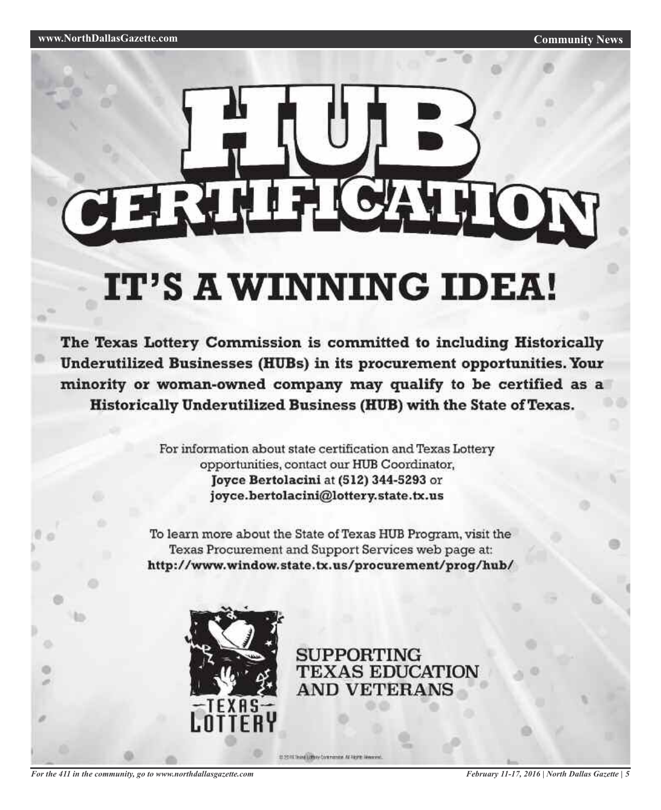# **FRIH CATION**

# IT'S A WINNING IDEA!

The Texas Lottery Commission is committed to including Historically Underutilized Businesses (HUBs) in its procurement opportunities. Your minority or woman-owned company may qualify to be certified as a Historically Underutilized Business (HUB) with the State of Texas.

> For information about state certification and Texas Lottery opportunities, contact our HUB Coordinator, Joyce Bertolacini at (512) 344-5293 or joyce.bertolacini@lottery.state.tx.us

To learn more about the State of Texas HUB Program, visit the Texas Procurement and Support Services web page at: http://www.window.state.tx.us/procurement/prog/hub/



**SUPPORTING TEXAS EDUCATION AND VETERANS** 

ID 2011 Think Little to Contrators, At Fight Weavens.

*For the 411 in the community, go to www.northdallasgazette.com*

*February 11-17, 2016 | North Dallas Gazette | 5*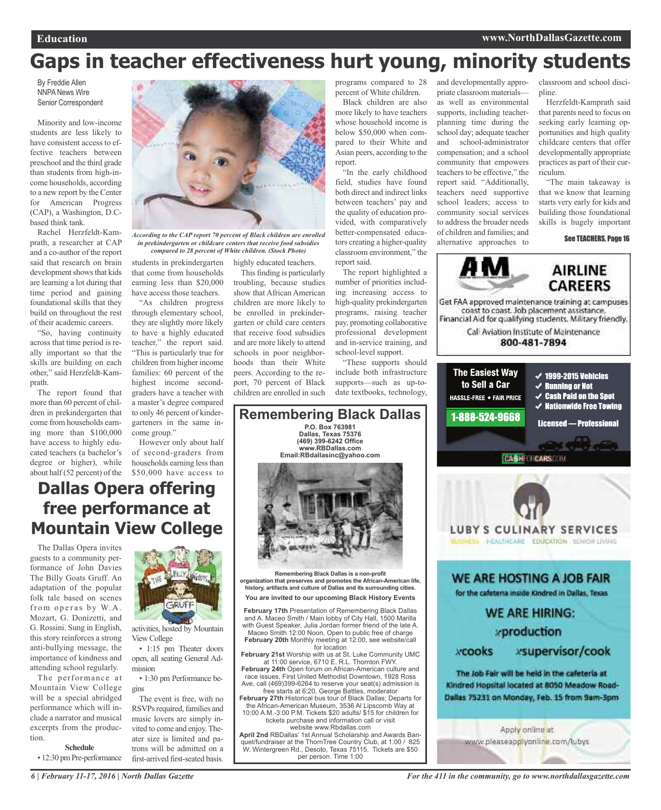## **Gaps in teacher effectiveness hurt young, minority students**

By Freddie Allen NNPA News Wire Senior Correspondent

Minority and low-income students are less likely to have consistent access to effective teachers between preschool and the third grade than students from high-income households, according to a new report by the Center for American Progress (CAP), a Washington, D.Cbased think tank.

Rachel Herzfeldt-Kamprath, a researcher at CAP and a co-author of the report said that research on brain development shows that kids are learning a lot during that time period and gaining foundational skills that they build on throughout the rest of their academic careers.

"So, having continuity across that time period is really important so that the skills are building on each other," said Herzfeldt-Kamprath.

The report found that more than 60 percent of children in prekindergarten that come from households earning more than \$100,000 have access to highly educated teachers (a bachelor's degree or higher), while about half (52 percent) of the



*According to the CAP report 70 percent of Black children are enrolled in prekindergarten or childcare centers that receive food subsidies compared to 28 percent of White children. (Stock Photo)*

students in prekindergarten highly educated teachers.

that come from households earning less than \$20,000 have access those teachers. "As children progress through elementary school, they are slightly more likely to have a highly educated teacher," the report said. "This is particularly true for children from higher income This finding is particularly troubling, because studies show that African American children are more likely to be enrolled in prekindergarten or child care centers that receive food subsidies and are more likely to attend schools in poor neighbor-

hoods than their White peers. According to the report, 70 percent of Black children are enrolled in such

programs compared to 28 percent of White children.

Black children are also more likely to have teachers whose household income is below \$50,000 when compared to their White and Asian peers, according to the report.

"In the early childhood field, studies have found both direct and indirect links between teachers' pay and the quality of education provided, with comparatively better-compensated educators creating a higher-quality classroom environment," the report said.

The report highlighted a number of priorities including increasing access to high-quality prekindergarten programs, raising teacher pay, promoting collaborative professional development and in-service training, and school-level support.

"These supports should include both infrastructure supports—such as up-todate textbooks, technology,



classroom and school discipline.

Herzfeldt-Kamprath said that parents need to focus on seeking early learning opportunities and high quality childcare centers that offer developmentally appropriate practices as part of their curriculum.

"The main takeaway is that we know that learning starts very early for kids and building those foundational skills is hugely important

See TEACHERS, Page 16



Get FAA approved maintenance training at campuses coast to coast. Job placement assistance. Financial Aid for qualifying students. Military friendly.

> Call Aviation Institute of Maintenance 800-481-7894



**Dallas Opera offering free performance at Mountain View College**

The Dallas Opera invites guests to a community performance of John Davies The Billy Goats Gruff. An adaptation of the popular folk tale based on scenes from operas by W.A. Mozart, G. Donizetti, and G. Rossini. Sung in English, this story reinforces a strong anti-bullying message, the importance of kindness and attending school regularly.

The performance at Mountain View College will be a special abridged performance which will include a narrator and musical excerpts from the production.

#### **Schedule**

• 12:30 pm Pre-performance



families: 60 percent of the highest income secondgraders have a teacher with a master's degree compared to only 46 percent of kindergarteners in the same in-

However only about half of second-graders from households earning less than \$50,000 have access to

come group."

activities, hosted by Mountain View College

• 1:15 pm Theater doors open, all seating General Admission

• 1:30 pm Performance begins

The event is free, with no RSVPs required, families and music lovers are simply invited to come and enjoy.Theater size is limited and patrons will be admitted on a first-arrived first-seated basis.

**Remembering Black Dallas is a non-profit organization that preserves and promotes the African-American life, history, artifacts and culture of Dallas and its surrounding cities. You are invited to our upcoming Black History Events February 17th** Presentation of Remembering Black Dallas and A. Maceo Smith / Main lobby of City Hall, 1500 Marilla with Guest Speaker, Julia Jordan former friend of the late A. Maceo Smith 12:00 Noon, Open to public free of charge **February 20th** Monthly meeting at 12:00, see website/call for location **February 21st** Worship with us at St. Luke Community UMC

**Remembering Black Dallas P.O. Box 763981 Dallas, Texas 75376 (469) 399-6242 Office www.RBDallas.com Email:RBdallasinc@yahoo.com**

at 11:00 service, 6710 E. R.L. Thornton FWY. **February 24th** Open forum on African-American culture and

race issues, First United Methodist Downtown, 1928 Ross Ave, call (469)399-6264 to reserve your seat(s) admission is free starts at 6:20, George Battles, moderator

**February 27th** Historical bus tour of Black Dallas; Departs for the African-American Museum, 3536 Al Lipscomb Way at 10:00 A.M.-3:00 P.M. Tickets \$20 adults/ \$15 for children for

tickets purchase and information call or visit website www.Rbdallas.com

**April 2nd** RBDallas' 1st Annual Scholarship and Awards Banquet/fundraiser at the ThornTree Country Club, at 1:00 / 825 W. Wintergreen Rd., Desoto, Texas 75115. Tickets are \$50 per person. Time 1:00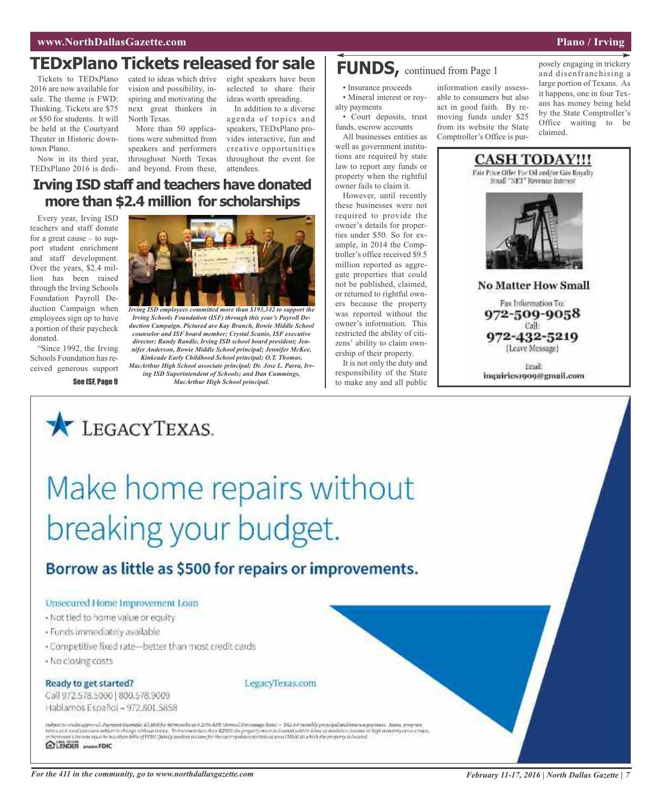## **TEDxPlano Tickets released for sale**  $\vert$  **FUNDS,** continued from Page 1

2016 are now available for sale. The theme is FWD: Thinking. Tickets are \$75 or \$50 for students. It will be held at the Courtyard Theater in Historic downtown Plano.

Now in its third year, TEDxPlano 2016 is dedi-and beyond. From these,

vision and possibility, inspiring and motivating the next great thinkers in North Texas.

More than 50 applications were submitted from speakers and performers throughout North Texas

**Irving ISD staff and teachers have donated**

Tickets to TEDxPlano cated to ideas which drive eight speakers have been selected to share their ideas worth spreading.

In addition to a diverse agenda of topics and speakers, TEDxPlano provides interactive, fun and creative opportunities throughout the event for attendees.

• Insurance proceeds • Mineral interest or royalty payments • Court deposits, trust

funds, escrow accounts All businesses entities as well as government institutions are required by state law to report any funds or property when the rightful owner fails to claim it.

However, until recently these businesses were not required to provide the owner's details for properties under \$50. So for example, in 2014 the Comptroller's office received \$9.5 million reported as aggregate properties that could not be published, claimed, or returned to rightful owners because the property was reported without the owner's information. This restricted the ability of citizens' ability to claim ownership of their property.

It is not only the duty and responsibility of the State to make any and all public

information easily assessable to consumers but also act in good faith. By removing funds under \$25 from its website the State Comptroller's Office is pur-

posely engaging in trickery and disenfranchising a large portion of Texans. As it happens, one in four Texans has money being held by the State Comptroller's Office waiting to be claimed.



inquiries1909@gmail.com

#### **more than \$2.4 million for scholarships** Every year, Irving ISD teachers and staff donate for a great cause – to support student enrichment

and staff development. Over the years, \$2.4 million has been raised through the Irving Schools Foundation Payroll Deduction Campaign when employees sign up to have a portion of their paycheck donated.

"Since 1992, the Irving Schools Foundation has received generous support *ISD employees committed more than* \$193,342 *to support the* 

*duction Campaign. Pictured are Kay Branch, Bowie Middle School counselor and ISF board member; Crystal Scanio, ISF executive director; Randy Randle, Irving ISD school board president; Jennifer Anderson, Bowie Middle School principal; Jennifer McKee,*

*MacArthur High School principal.*



*Kinkeade Early Childhood School principal; O.T. Thomas, MacArthur High School associate principal; Dr. Jose L. Parra, Irving ISD Superintendent of Schools; and Dan Cummings,*

See ISF, Page 9



# Make home repairs without breaking your budget.

## Borrow as little as \$500 for repairs or improvements.

#### Unsecured Home Improvement Loan

- · Not tied to home value or equity
- · Funds immediately available
- · Competitive fixed rate-better than most credit cards
- · No closing costs

#### Ready to get started?

Call 972.578.5000 800.578.9009 Hablamos Español - 972.801.5858



Subject to the team and Payment Example \$5,000 for 60 months at 4,21% AUD Showell Percentage Rote: = 192.24 monthly provincial and interest payment. Along progress meer and workbloos an inhights sharpe without redse. To harmour four than \$2500 the property must be than out his forest an industry theme.<br>In harmour closure must be harmon 80% of FPMC formly median income for the mean po a matrico tecno o high winerty country ELENDER WWW.FDIC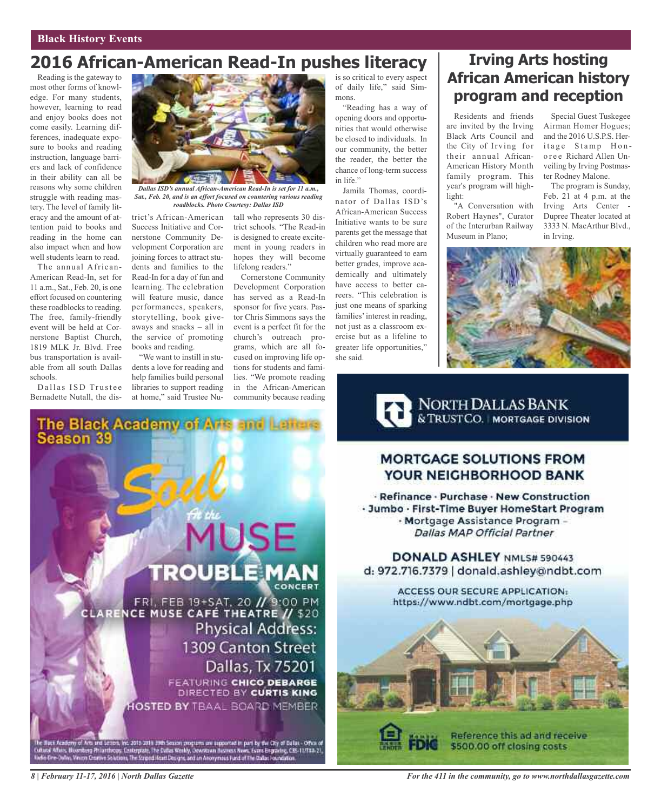## **2016 African-American Read-In pushes literacy**

Reading is the gateway to most other forms of knowledge. For many students, however, learning to read and enjoy books does not come easily. Learning differences, inadequate exposure to books and reading instruction, language barriers and lack of confidence in their ability can all be reasons why some children struggle with reading mastery. The level of family literacy and the amount of attention paid to books and reading in the home can also impact when and how well students learn to read.

The annual African-American Read-In, set for 11 a.m., Sat., Feb. 20, is one effort focused on countering these roadblocks to reading. The free, family-friendly event will be held at Cornerstone Baptist Church, 1819 MLK Jr. Blvd. Free bus transportation is available from all south Dallas schools.

Dallas ISD Trustee Bernadette Nutall, the dis-



*Dallas ISD's annual African-American Read-In is set for 11 a.m., Sat., Feb. 20, and is an effort focused on countering various reading roadblocks. Photo Courtesy: Dallas ISD*

trict's African-American Success Initiative and Cornerstone Community Development Corporation are joining forces to attract students and families to the Read-In for a day of fun and learning. The celebration will feature music, dance performances, speakers, storytelling, book giveaways and snacks – all in the service of promoting books and reading.

"We want to instill in students a love for reading and help families build personal libraries to support reading at home," said Trustee Nu-

The Black Academy of Arts and Lehas.<br>Season 39

tall who represents 30 district schools. "The Read-in is designed to create excitement in young readers in hopes they will become lifelong readers."

Cornerstone Community Development Corporation has served as a Read-In sponsor for five years. Pastor Chris Simmons says the event is a perfect fit for the church's outreach programs, which are all focused on improving life options for students and families. "We promote reading in the African-American community because reading

is so critical to every aspect of daily life," said Simmons.

"Reading has a way of opening doors and opportunities that would otherwise be closed to individuals. In our community, the better the reader, the better the chance of long-term success in life."

Jamila Thomas, coordinator of Dallas ISD's African-American Success Initiative wants to be sure parents get the message that children who read more are virtually guaranteed to earn better grades, improve academically and ultimately have access to better careers. "This celebration is just one means of sparking families' interest in reading, not just as a classroom exercise but as a lifeline to greater life opportunities," she said.

## **Irving Arts hosting African American history program and reception**

Residents and friends are invited by the Irving Black Arts Council and the City of Irving for their annual African-American History Month family program. This year's program will highlight<sup>.</sup>

"A Conversation with Robert Haynes", Curator of the Interurban Railway Museum in Plano;

Special Guest Tuskegee Airman Homer Hogues; and the 2016 U.S.P.S. Heritage Stamp Honoree Richard Allen Unveiling by Irving Postmaster Rodney Malone.

The program is Sunday, Feb. 21 at 4 p.m. at the Irving Arts Center - Dupree Theater located at 3333 N. MacArthur Blvd., in Irving.



NORTH DALLAS BANK

#### **MORTGAGE SOLUTIONS FROM** YOUR NEIGHBORHOOD BANK

- Refinance - Purchase - New Construction · Jumbo · First-Time Buyer HomeStart Program - Mortgage Assistance Program -**Dallas MAP Official Partner** 

DONALD ASHLEY NML5# 590443 d: 972.716.7379 | donald.ashley@ndbt.com

> ACCESS OUR SECURE APPLICATION: https://www.ndbt.com/mortgage.php



**MUSE TROUBLE MAN** FRI, FEB 19+SAT, 20 // 9:00 PM<br>CLARENCE MUSE CAFÉ THEATRE // \$20 **Physical Address:** 1309 Canton Street Dallas, Tx 75201 **FEATURING CHICO DEBARGE** DIRECTED BY CURTIS KING HOSTED BY TBAAL BOARD MEMBER

lony of Arts and Letters, his 2015 2016 20th Season programs are supported in part by the City of Dallas - Office of<br>- Bioenforty Philambrowy, Contemplate, The Dallas Workly, Cowntown Business News, Evans Engraving, CBS-11

*For the 411 in the community, go to www.northdallasgazette.com*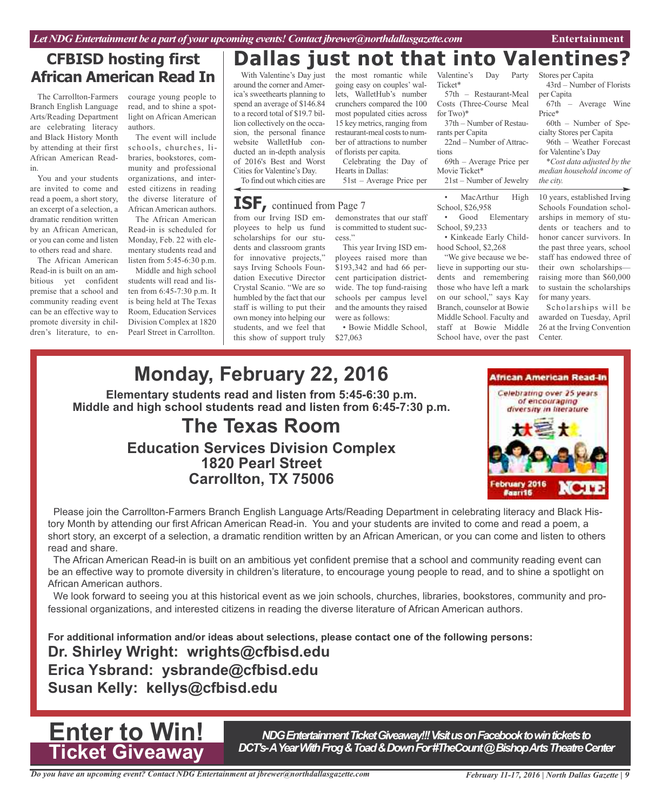## **CFBISD hosting first African American Read In**

The Carrollton-Farmers Branch English Language Arts/Reading Department are celebrating literacy and Black History Month by attending at their first African American Readin.

You and your students are invited to come and read a poem, a short story, an excerpt of a selection, a dramatic rendition written by an African American, or you can come and listen Monday, Feb. 22 with eleto others read and share.

Read-in is built on an ambitious yet confident premise that a school and community reading event can be an effective way to promote diversity in children's literature, to en-

courage young people to read, and to shine a spotlight on African American authors.

The event will include schools, churches, libraries, bookstores, community and professional organizations, and interested citizens in reading the diverse literature of African American authors.

The African American listen from 5:45-6:30 p.m. The African American Read-in is scheduled for mentary students read and

Middle and high school students will read and listen from 6:45-7:30 p.m. It is being held at The Texas Room, Education Services Division Complex at 1820 Pearl Street in Carrollton.

## **Dallas just not that into Valentines?**

With Valentine's Day just around the corner andAmerica's sweethearts planning to spend an average of \$146.84 to a record total of \$19.7 billion collectively on the occasion, the personal finance website WalletHub conducted an in-depth analysis of 2016's Best and Worst Cities for Valentine's Day.

To find out which cities are

## **ISF,** continued from Page <sup>7</sup>

from our Irving ISD employees to help us fund scholarships for our students and classroom grants for innovative projects," says Irving Schools Foundation Executive Director Crystal Scanio. "We are so humbled by the fact that our staff is willing to put their own money into helping our students, and we feel that this show of support truly

the most romantic going easy on couples' wallets, WalletHub's number crunchers compared the 100 most populated cities across 15 key metrics, ranging from restaurant-meal costs to number of attractions to number of florists per capita.

Celebrating the Day of Hearts in Dallas: 51st – Average Price per

demonstrates that our staff is committed to student suc-

cess." This year Irving ISD employees raised more than \$193,342 and had 66 percent participation districtwide. The top fund-raising schools per campus level and the amounts they raised were as follows:

• Bowie Middle School, \$27,063

Valentine's Day Party Ticket\* 57th – Restaurant-Meal

Costs (Three-Course Meal for Two)\* 37th – Number of Restau-

rants per Capita 22nd – Number of Attrac-

tions 69th – Average Price per Movie Ticket\*

21st – Number of Jewelry

• MacArthur High School, \$26,958

• Good Elementary School, \$9,233

• Kinkeade Early Childhood School, \$2,268

"We give because we believe in supporting our students and remembering those who have left a mark on our school," says Kay Branch, counselor at Bowie Middle School. Faculty and staff at Bowie Middle School have, over the past

Stores per Capita 43rd – Number of Florists per Capita

67th – Average Wine Price\*

60th – Number of Specialty Stores per Capita

96th – Weather Forecast for Valentine's Day

*\*Cost data adjusted by the median household income of the city.*

10 years, established Irving Schools Foundation scholarships in memory of students or teachers and to honor cancer survivors. In the past three years, school staff has endowed three of their own scholarships raising more than \$60,000 to sustain the scholarships for many years.

Scholarships will be awarded on Tuesday, April 26 at the Irving Convention Center.

## **Monday, February 22, 2016 Elementary students read and listen from 5:45-6:30 p.m. Middle and high school students read and listen from 6:45-7:30 p.m. The Texas Room Education Services Division Complex 1820 Pearl Street Carrollton, TX 75006**

**African American Read-in** Celebrating over 25 years of encouraging diversity in literature

Please join the Carrollton-Farmers Branch English Language Arts/Reading Department in celebrating literacy and Black History Month by attending our first African American Read-in. You and your students are invited to come and read a poem, a short story, an excerpt of a selection, a dramatic rendition written by an African American, or you can come and listen to others read and share.

The African American Read-in is built on an ambitious yet confident premise that a school and community reading event can be an effective way to promote diversity in children's literature, to encourage young people to read, and to shine a spotlight on African American authors.

We look forward to seeing you at this historical event as we join schools, churches, libraries, bookstores, community and professional organizations, and interested citizens in reading the diverse literature of African American authors.

**For additional information and/or ideas about selections, please contact one of the following persons: Dr. Shirley Wright: wrights@cfbisd.edu Erica Ysbrand: ysbrande@cfbisd.edu Susan Kelly: kellys@cfbisd.edu**

> *NDGEntertainmentTicketGiveaway!!!VisitusonFacebooktowinticketsto* DCT's-AYearWithFrog&Toad&DownFor#TheCount@BishopArtsTheatreCenter

**Enter to Win!**

**Ticket Giveaway**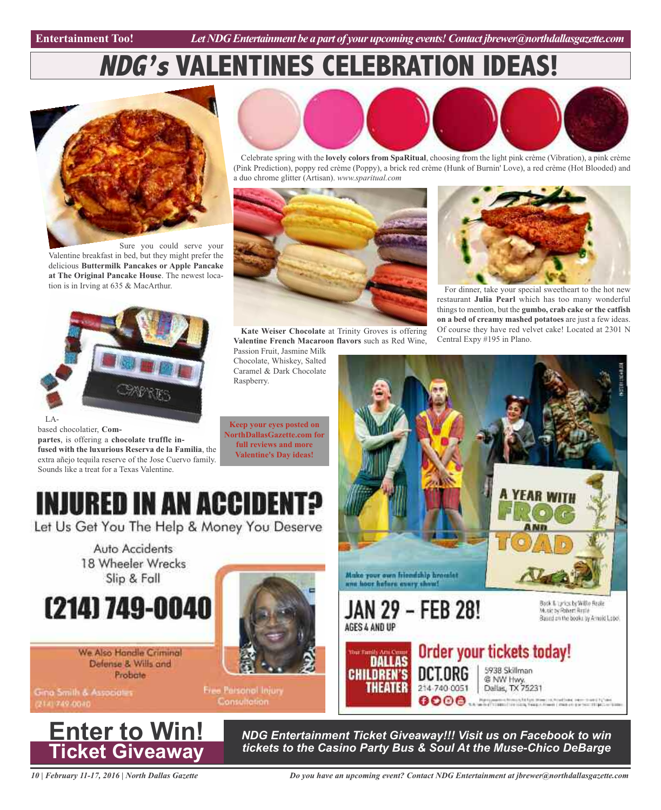Entertainment Too! *Let NDG Entertainment be a part of your upcoming events! Contact jbrewer@northdallasgazette.com* 

## **NDG's VALENTINES CELEBRATION IDEAS!**



Valentine breakfast in bed, but they might prefer the delicious **Buttermilk Pancakes or Apple Pancake at The Original Pancake House**. The newest location is in Irving at 635 & MacArthur.



based chocolatier, **Compartes**, is offering a **chocolate truffle infused with the luxurious Reserva de la Familia**, the extra añejo tequila reserve of the Jose Cuervo family. Sounds like a treat for a Texas Valentine.



Celebrate spring with the **lovely colors from SpaRitual**, choosing from the light pink crème (Vibration), a pink crème (Pink Prediction), poppy red crème (Poppy), a brick red crème (Hunk of Burnin' Love), a red crème (Hot Blooded) and a duo chrome glitter (Artisan). *www.sparitual.com*



**Kate Weiser Chocolate** at Trinity Groves is offering **Valentine French Macaroon flavors** such as Red Wine,

Passion Fruit, Jasmine Milk Chocolate, Whiskey, Salted Caramel & Dark Chocolate Raspberry.

**Keep your eyes posted on NorthDallasGazette.com for full reviews and more Valentine's Day ideas!**



For dinner, take your special sweetheart to the hot new restaurant **Julia Pearl** which has too many wonderful things to mention, but the **gumbo, crab cake or the catfish on a bed of creamy mashed potatoes** are just a few ideas. Of course they have red velvet cake! Located at 2301 N Central Expy #195 in Plano.



**INJURED IN AN ACCIDENT?** 

Let Us Get You The Help & Money You Deserve

Auto Accidents 18 Wheeler Wrecks Slip & Fall



We Also Handle Criminal Defense & Wills and Probate

Gina Smith & Associators 2141749-0040





Free Parsonal Injury **Consultation** 

> *NDG Entertainment Ticket Giveaway!!! Visit us on Facebook to win tickets to the Casino Party Bus & Soul At the Muse-Chico DeBarge*

*10 | February 11-17, 2016 | North Dallas Gazette*

*Do you have an upcoming event? Contact NDG Entertainment at jbrewer@northdallasgazette.com*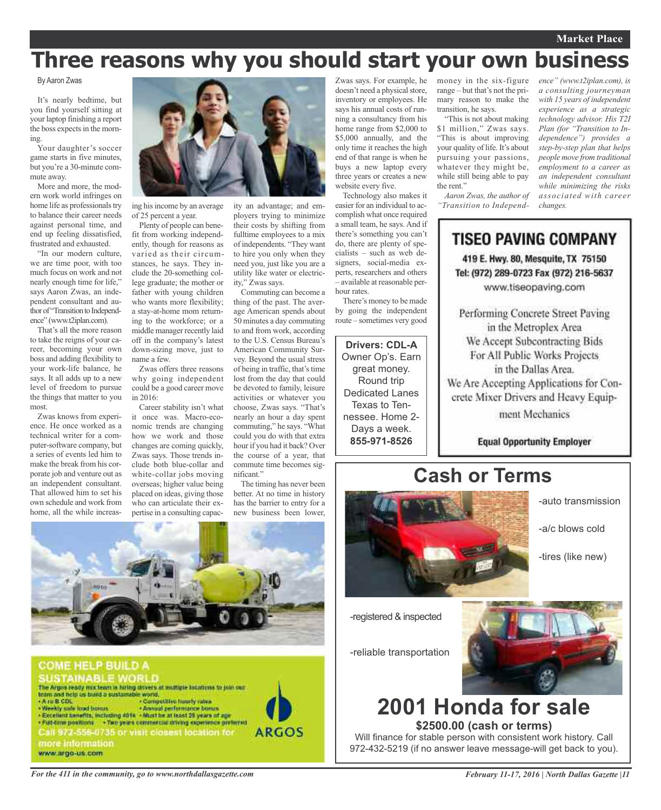#### **Market Place**

## **Three reasons why you should start your own business**

#### By Aaron Zwas

It's nearly bedtime, but you find yourself sitting at your laptop finishing a report the boss expects in the morning.

Your daughter's soccer game starts in five minutes, but you're a 30-minute commute away.

More and more, the modern work world infringes on home life as professionals try to balance their career needs against personal time, and end up feeling dissatisfied, frustrated and exhausted.

"In our modern culture, we are time poor, with too much focus on work and not nearly enough time for life," says Aaron Zwas, an independent consultant and author of "Transition to Independence" (www.t2iplan.com).

That's all the more reason to take the reigns of your career, becoming your own boss and adding flexibility to your work-life balance, he says. It all adds up to a new level of freedom to pursue the things that matter to you most.

Zwas knows from experience. He once worked as a technical writer for a computer-software company, but a series of events led him to make the break from his corporate job and venture out as an independent consultant. That allowed him to set his own schedule and work from home, all the while increas-



ing hisincome by an average of 25 percent a year.

Plenty of people can benefit from working independently, though for reasons as varied as their circumstances, he says. They include the 20-something college graduate; the mother or father with young children who wants more flexibility; a stay-at-home mom returning to the workforce; or a middle manager recently laid off in the company's latest down-sizing move, just to name a few.

Zwas offers three reasons why going independent could be a good career move in 2016:

Career stability isn't what it once was. Macro-economic trends are changing how we work and those changes are coming quickly, Zwas says. Those trends include both blue-collar and white-collar jobs moving overseas; higher value being placed on ideas, giving those who can articulate their expertise in a consulting capacity an advantage; and employers trying to minimize their costs by shifting from fulltime employees to a mix of independents. "They want to hire you only when they need you, just like you are a utility like water or electricity," Zwas says.

Commuting can become a thing of the past. The average American spends about 50 minutes a day commuting to and from work, according to the U.S. Census Bureau's American Community Survey. Beyond the usual stress of being in traffic, that's time lost from the day that could be devoted to family, leisure activities or whatever you choose, Zwas says. "That's nearly an hour a day spent commuting," he says. "What could you do with that extra hour if you had it back? Over the course of a year, that commute time becomes significant."

The timing has never been better. At no time in history has the barrier to entry for a new business been lower,

Zwas says. For example, he money in the six-figure doesn't need a physical store, inventory or employees. He says his annual costs of running a consultancy from his home range from \$2,000 to \$5,000 annually, and the only time it reaches the high end of that range is when he buys a new laptop every three years or creates a new website every five.

Technology also makes it easier for an individual to accomplish what once required a small team, he says. And if there's something you can't do, there are plenty of specialists – such as web designers, social-media experts, researchers and others – available at reasonable perhour rates.

There's money to be made by going the independent route – sometimes very good

**Drivers: CDL-A** Owner Op's. Earn great money. Round trip Dedicated Lanes Texas to Tennessee. Home 2- Days a week. **855-971-8526**

range – but that's not the primary reason to make the transition, he says.

"This is not about making \$1 million," Zwas says. "This is about improving your quality of life. It's about pursuing your passions, whatever they might be, while still being able to pay the rent."

*Aaron Zwas, the author of "Transition to Independ-*

*ence" (www.t2iplan.com), is a consulting journeyman with 15 years of independent experience as a strategic technology advisor. His T2I Plan (for "Transition to Independence") provides a step-by-step plan that helps people move from traditional employment to a career as an independent consultant while minimizing the risks associated with career changes.*

TISEO PAVING COMPANY 419 E. Hwy. 80, Mesquite, TX 75150 Tel: (972) 289-0723 Fax (972) 216-5637 www.tiseopaving.com

Performing Concrete Street Paving in the Metroplex Area We Accept Subcontracting Bids For All Public Works Projects in the Dallas Area. We Are Accepting Applications for Concrete Mixer Drivers and Heavy Equipment Mechanics

**Equal Opportunity Employer** 

-auto transmission

-a/c blows cold

-tires (like new)

## **Cash or Terms**



-registered & inspected

-reliable transportation



## **2001 Honda for sale \$2500.00 (cash or terms)**

Will finance for stable person with consistent work history. Call 972-432-5219 (if no answer leave message-will get back to you).





*For the 411 in the community, go to www.northdallasgazette.com*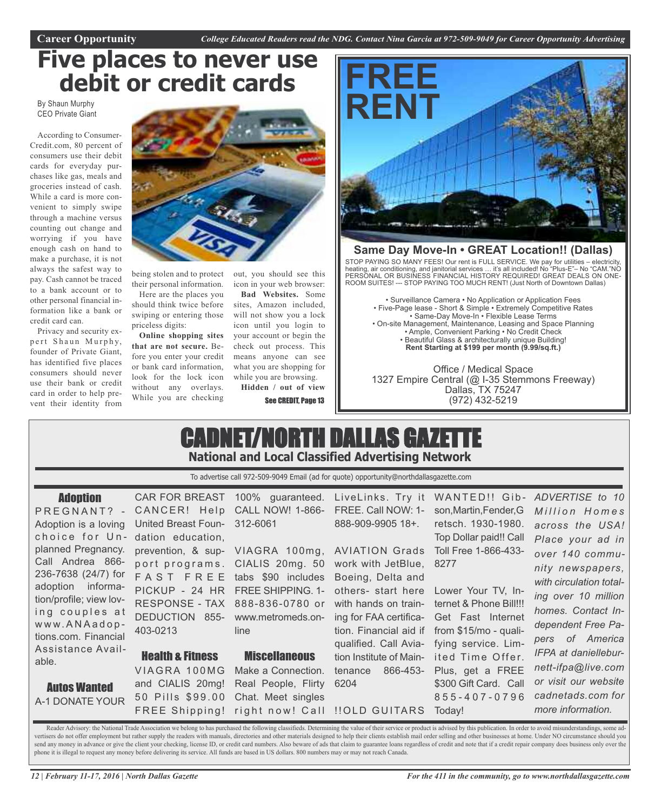## **Five places to never use debit or credit cards**

By Shaun Murphy CEO Private Giant

According to Consumer-Credit.com, 80 percent of consumers use their debit cards for everyday purchases like gas, meals and groceries instead of cash. While a card is more convenient to simply swipe through a machine versus counting out change and worrying if you have enough cash on hand to make a purchase, it is not always the safest way to pay. Cash cannot be traced to a bank account or to other personal financial information like a bank or credit card can.

Privacy and security expert Shaun Murphy, founder of Private Giant, has identified five places consumers should never use their bank or credit card in order to help prevent their identity from



being stolen and to protect their personal information.

Here are the places you should think twice before swiping or entering those priceless digits:

**Online shopping sites that are not secure.** Before you enter your credit or bank card information, look for the lock icon without any overlays. While you are checking

out, you should see this icon in your web browser:

**Bad Websites.** Some sites, Amazon included, will not show you a lock icon until you login to your account or begin the check out process. This means anyone can see what you are shopping for while you are browsing.

**Hidden / out of view**

See CREDIT, Page 13



#### **Same Day Move-In • GREAT Location!! (Dallas)**

STOP PAYING SO MANY FEES! Our rent is FULL SERVICE. We pay for utilities – electricity, heating, air conditioning, and janitorial services … it's all included! No "Plus-E"– No "CAM."NO PERSONAL OR BUSINESS FINANCIAL HISTORY REQUIRED! GREAT DEALS ON ONE-ROOM SUITES! --- STOP PAYING TOO MUCH RENT! (Just North of Downtown Dallas)

• Surveillance Camera • No Application or Application Fees • Five-Page lease - Short & Simple • Extremely Competitive Rates • Same-Day Move-In • Flexible Lease Terms • On-site Management, Maintenance, Leasing and Space Planning • Ample, Convenient Parking • No Credit Check • Beautiful Glass & architecturally unique Building! **Rent Starting at \$199 per month (9.99/sq.ft.)**

Office / Medical Space 1327 Empire Central (@ I-35 Stemmons Freeway) Dallas, TX 75247 (972) 432-5219

## CADNET/NORTH DALLAS GAZETTE **National and Local Classified Advertising Network**

To advertise call 972-509-9049 Email (ad for quote) opportunity@northdallasgazette.com

#### **Adoption**

PREGNANT? -Adoption is a loving choice for Unplanned Pregnancy. Call Andrea 866- 236-7638 (24/7) for adoption information/profile; view loving couples at w w w. A N A a d o p tions.com. Financial Assistance Available.

Autos Wanted A-1 DONATE YOUR

CANCER! Help United Breast Foundation education, DEDUCTION 855- 403-0213

Health & Fitness VIAGRA 100MG and CIALIS 20mg!

CAR FOR BREAST 100% guaranteed. LiveLinks. Try it WANTED!! Gib-CALL NOW! 1-866- FREE. Call NOW: 1- 312-6061

prevention, & sup-VIAGRA 100mg, AVIATION Grads Toll Free 1-866-433 port programs. CIALIS 20mg. 50 F A S T F R E E tabs \$90 includes Boeing, Delta and PICKUP - 24 HR FREE SHIPPING. 1- RESPONSE - TAX 888-836-0780 or www.metromeds.online

#### **Miscellaneous**

50 Pills \$99.00 Chat. Meet singles FREE Shipping! right now! Call ‼OLD GUITARS Today! Make a Connection. Real People, Flirty

888-909-9905 18+.

work with JetBlue, 8277 others- start here Lower Your TV, Inwith hands on train-ternet & Phone Bill!!! ing for FAA certification. Financial aid if from \$15/mo - qualiqualified. Call Aviation Institute of Main- ited Time Offer. tenance 866-453- 6204

son,Martin,Fender,G retsch. 1930-1980. Top Dollar paid!! Call

Get Fast Internet fying service. Lim-Plus, get a FREE \$300 Gift Card. Call 8 5 5 - 4 0 7 - 0 7 9 6

*ADVERTISE to 10 M i l l i o n H o m e s across the USA! Place your ad in over 140 community newspapers, with circulation totaling over 10 million homes. Contact Independent Free Papers of America IFPA at danielleburnett-ifpa@live.com or visit our website cadnetads.com for more information.*

Reader Advisory: the National Trade Association we belong to has purchased the following classifieds. Determining the value of their service or product is advised by this publication. In order to avoid misunderstandings, s vertisers do not offer employment but rather supply the readers with manuals, directories and other materials designed to help their clients establish mail order selling and other businesses at home. Under NO circumstance send any money in advance or give the client your checking, license ID, or credit card numbers. Also beware of ads that claim to guarantee loans regardless of credit and note that if a credit repair company does business o phone it is illegal to request any money before delivering its service. All funds are based in US dollars. 800 numbers may or may not reach Canada.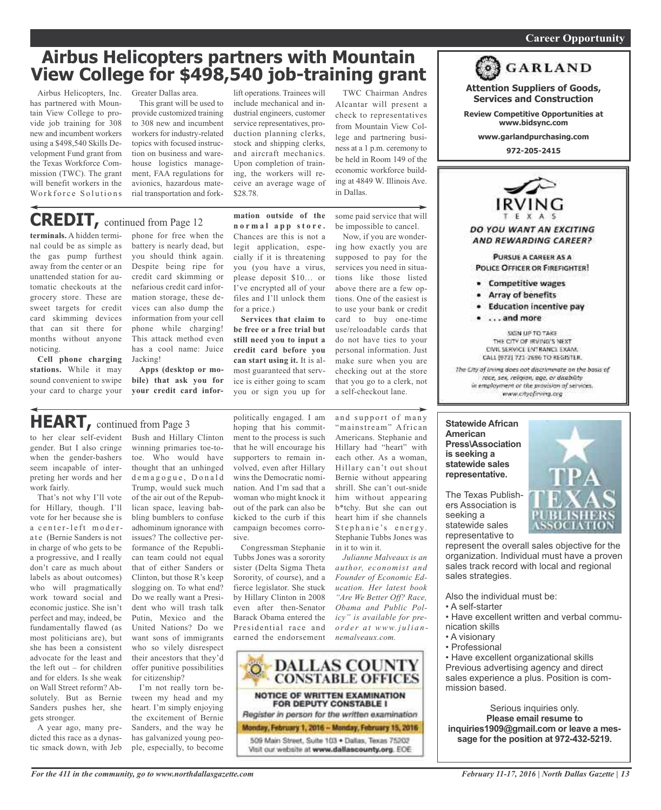#### *On a quest for qualified candidates? Contact Nina Garcia at 972-509-9049* **Career Opportunity**

## **Airbus Helicopters partners with Mountain View College for \$498,540 job-training grant**

Airbus Helicopters, Inc. has partnered with Mountain View College to provide job training for 308 new and incumbent workers using a \$498,540 Skills Development Fund grant from the Texas Workforce Commission (TWC). The grant will benefit workers in the Workforce Solutions

Greater Dallas area.

This grant will be used to provide customized training to 308 new and incumbent workers for industry-related topics with focused instruction on business and warehouse logistics management, FAA regulations for avionics, hazardous material transportation and fork-

lift operations. Trainees will include mechanical and industrial engineers, customer service representatives, production planning clerks, stock and shipping clerks, and aircraft mechanics. Upon completion of training, the workers will receive an average wage of \$28.78.

**mation outside of the n o r m a l a p p s t o r e .** Chances are this is not a legit application, especially if it is threatening you (you have a virus, please deposit \$10… or I've encrypted all of your files and I'll unlock them

**Services that claim to be free or a free trial but still need you to input a credit card before you can start using it.** It is almost guaranteed that service is either going to scam you or sign you up for

for a price.)

TWC Chairman Andres Alcantar will present a check to representatives from Mountain View College and partnering business at a 1 p.m. ceremony to be held in Room 149 of the economic workforce building at 4849 W. Illinois Ave. in Dallas.

some paid service that will be impossible to cancel. Now, if you are wonder-

ing how exactly you are supposed to pay for the services you need in situations like those listed above there are a few options. One of the easiest is to use your bank or credit card to buy one-time use/reloadable cards that do not have ties to your personal information. Just make sure when you are checking out at the store that you go to a clerk, not a self-checkout lane.

and support of many "mainstream" African Americans. Stephanie and Hillary had "heart" with each other. As a woman, Hillary can't out shout Bernie without appearing shrill. She can't out-snide him without appearing b\*tchy. But she can out heart him if she channels Stephanie's energy. Stephanie Tubbs Jones was

in it to win it.

*nemalveaux.com.*

*Julianne Malveaux is an author, economist and Founder of Economic Education. Her latest book "Are We Better Off? Race, Obama and Public Policy" is available for preo rd e r a t www. j u l i a n -*

**terminals.** A hidden terminal could be as simple as the gas pump furthest away from the center or an unattended station for automatic checkouts at the grocery store. These are sweet targets for credit card skimming devices that can sit there for months without anyone noticing.

**Cell phone charging stations.** While it may sound convenient to swipe your card to charge your

phone for free when the battery is nearly dead, but you should think again. Despite being ripe for credit card skimming or nefarious credit card information storage, these devices can also dump the information from your cell phone while charging! This attack method even has a cool name: Juice Jacking! **CREDIT,** continued from Page <sup>12</sup>

> **Apps (desktop or mobile) that ask you for your credit card infor-**

## **HEART,** continued from Page <sup>3</sup>

to her clear self-evident gender. But I also cringe when the gender-bashers seem incapable of interpreting her words and her work fairly.

That's not why I'll vote for Hillary, though. I'll vote for her because she is a center-left modera te (Bernie Sanders is not in charge of who gets to be a progressive, and I really don't care as much about labels as about outcomes) who will pragmatically work toward social and economic justice. She isn't perfect and may, indeed, be fundamentally flawed (as most politicians are), but she has been a consistent advocate for the least and the left out – for children and for elders. Is she weak on Wall Street reform? Absolutely. But as Bernie Sanders pushes her, she gets stronger.

A year ago, many predicted this race as a dynastic smack down, with Jeb

Bush and Hillary Clinton winning primaries toe-totoe. Who would have thought that an unhinged demagogue, Donald Trump, would suck much of the air out of the Republican space, leaving babbling bumblers to confuse adhominum ignorance with issues? The collective performance of the Republican team could not equal that of either Sanders or Clinton, but those R's keep slogging on. To what end? Do we really want a President who will trash talk Putin, Mexico and the United Nations? Do we want sons of immigrants who so vilely disrespect their ancestors that they'd offer punitive possibilities for citizenship?

I'm not really torn between my head and my heart. I'm simply enjoying the excitement of Bernie Sanders, and the way he has galvanized young people, especially, to become

politically engaged. I am hoping that his commitment to the process is such that he will encourage his supporters to remain involved, even after Hillary wins the Democratic nomination. And I'm sad that a woman who might knock it out of the park can also be kicked to the curb if this campaign becomes corrosive.

Congressman Stephanie Tubbs Jones was a sorority sister (Delta Sigma Theta Sorority, of course), and a fierce legislator. She stuck by Hillary Clinton in 2008 even after then-Senator Barack Obama entered the Presidential race and earned the endorsement



**Statewide African American Press\Association is seeking a statewide sales representative.**

The Texas Publishers Association is seeking a statewide sales representative to

represent the overall sales objective for the organization. Individual must have a proven sales track record with local and regional sales strategies.

Also the individual must be:

- A self-starter
- Have excellent written and verbal communication skills
- A visionary
- Professional

• Have excellent organizational skills Previous advertising agency and direct sales experience a plus. Position is commission based.

Serious inquiries only. **Please email resume to inquiries1909@gmail.com or leave a message for the position at 972-432-5219.**



**972-205-2415**

DO YOU WANT AN EXCITING

**Attention Suppliers of Goods, Services and Construction Review Competitive Opportunities at www.bidsync.com www.garlandpurchasing.com**

**GARLAND** 

AND REWARDING CAREER? PURSUE A CAREER AS A

POLICE OFFICER OR FIREFIGHTER!

- Competitive wages
- Array of benefits
- · Education incentive pay
- . . . . and more

SIGN UP TO TAKE THE CITY OF IRVING'S NEXT CIVIL SERVICE ENTRANCE EXAM. CALL (972) 721-2696 TO REGISTER.

The City of Irving does not discriminate on the basis of race, sex, religion, age, or disability in employment or the provision of services. www.cityofirving.org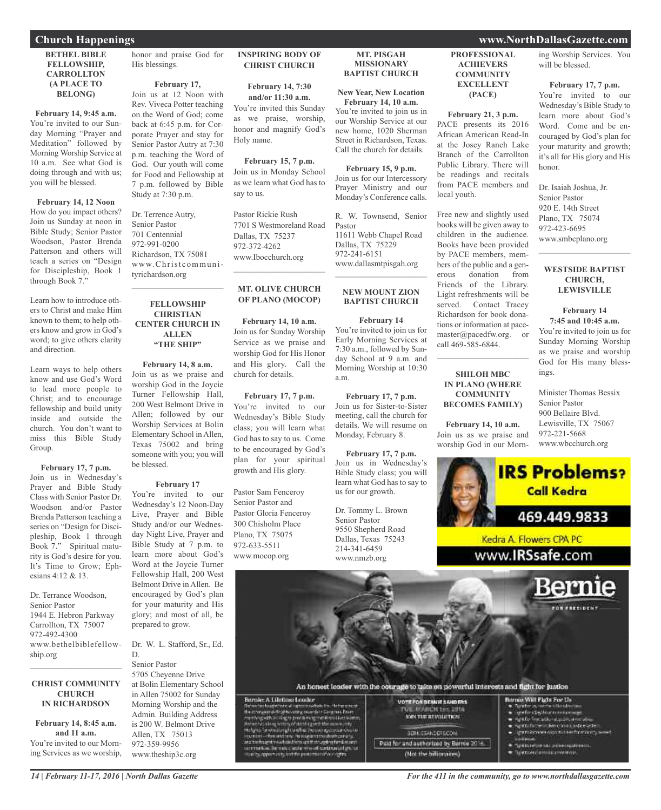#### **BETHEL BIBLE FELLOWSHIP, CARROLLTON (A PLACE TO BELONG)**

#### **February 14, 9:45 a.m.**

You're invited to our Sunday Morning "Prayer and Meditation" followed by Morning Worship Service at 10 a.m. See what God is doing through and with us; you will be blessed.

**February 14, 12 Noon** How do you impact others? Join us Sunday at noon in Bible Study; Senior Pastor Woodson, Pastor Brenda Patterson and others will teach a series on "Design for Discipleship, Book 1 through Book 7."

Learn how to introduce others to Christ and make Him known to them; to help others know and grow in God's word; to give others clarity and direction.

Learn ways to help others know and use God's Word to lead more people to Christ; and to encourage fellowship and build unity inside and outside the church. You don't want to miss this Bible Study Group.

**February 17, 7 p.m.** Join us in Wednesday's Prayer and Bible Study Class with Senior Pastor Dr. Woodson and/or Pastor Brenda Patterson teaching a series on "Design for Discipleship, Book 1 through Book 7." Spiritual maturity is God's desire for you. It's Time to Grow; Ephesians 4:12 & 13.

Dr. Terrance Woodson, Senior Pastor 1944 E. Hebron Parkway Carrollton, TX 75007 972-492-4300 www.bethelbiblefellowship.org

#### **CHRIST COMMUNITY CHURCH IN RICHARDSON**

 $\mathcal{L}_\text{max}$  and  $\mathcal{L}_\text{max}$  and  $\mathcal{L}_\text{max}$ 

**February 14, 8:45 a.m. and 11 a.m.** You're invited to our Morning Services as we worship, honor and praise God for His blessings.

**February 17,**

Join us at 12 Noon with Rev. Viveca Potter teaching on the Word of God; come back at 6:45 p.m. for Corporate Prayer and stay for Senior Pastor Autry at 7:30 p.m. teaching the Word of God. Our youth will come for Food and Fellowship at 7 p.m. followed by Bible Study at 7:30 p.m.

Dr. Terrence Autry, Senior Pastor 701 Centennial 972-991-0200 Richardson, TX 75081 www.Christcommunityrichardson.org

 $\overline{\phantom{a}}$  , and the set of the set of the set of the set of the set of the set of the set of the set of the set of the set of the set of the set of the set of the set of the set of the set of the set of the set of the s

#### **FELLOWSHIP CHRISTIAN CENTER CHURCH IN ALLEN "THE SHIP"**

**February 14, 8 a.m.** Join us as we praise and worship God in the Joycie Turner Fellowship Hall, 200 West Belmont Drive in Allen; followed by our Worship Services at Bolin Elementary School in Allen, Texas 75002 and bring someone with you; you will be blessed.

#### **February 17**

You're invited to our Wednesday's 12 Noon-Day Live, Prayer and Bible Study and/or our Wednesday Night Live, Prayer and Bible Study at 7 p.m. to learn more about God's Word at the Joycie Turner Fellowship Hall, 200 West Belmont Drive in Allen. Be encouraged by God's plan for your maturity and His glory; and most of all, be prepared to grow.

Dr. W. L. Stafford, Sr., Ed. D.

#### Senior Pastor

5705 Cheyenne Drive at Bolin Elementary School in Allen 75002 for Sunday Morning Worship and the Admin. Building Address is 200 W. Belmont Drive Allen, TX 75013 972-359-9956 www.theship3c.org

#### **INSPIRING BODY OF CHRIST CHURCH**

**February 14, 7:30 and/or 11:30 a.m.**

You're invited this Sunday as we praise, worship, honor and magnify God's Holy name.

**February 15, 7 p.m.** Join us in Monday School as we learn what God has to say to us.

Pastor Rickie Rush 7701 S Westmoreland Road Dallas, TX 75237 972-372-4262 www.Ibocchurch.org

#### **MT. OLIVE CHURCH OF PLANO (MOCOP)**

 $\mathcal{L}_\text{max}$  and  $\mathcal{L}_\text{max}$  and  $\mathcal{L}_\text{max}$ 

**February 14, 10 a.m.** Join us for Sunday Worship Service as we praise and worship God for His Honor and His glory. Call the church for details.

**February 17, 7 p.m.** You're invited to our Wednesday's Bible Study class; you will learn what God has to say to us. Come to be encouraged by God's plan for your spiritual growth and His glory.

Pastor Sam Fenceroy Senior Pastor and Pastor Gloria Fenceroy 300 Chisholm Place Plano, TX 75075 972-633-5511 www.mocop.org

#### **MT. PISGAH MISSIONARY BAPTIST CHURCH**

**New Year, New Location February 14, 10 a.m.** You're invited to join us in

our Worship Service at our new home, 1020 Sherman Street in Richardson, Texas. Call the church for details.

**February 15, 9 p.m.** Join us for our Intercessory Prayer Ministry and our Monday's Conference calls.

R. W. Townsend, Senior Pastor 11611 Webb Chapel Road Dallas, TX 75229 972-241-6151 www.dallasmtpisgah.org

 $\mathcal{L}$  , and the set of the set of the set of the set of the set of the set of the set of the set of the set of the set of the set of the set of the set of the set of the set of the set of the set of the set of the set

#### **NEW MOUNT ZION BAPTIST CHURCH**

**February 14** You're invited to join us for Early Morning Services at 7:30 a.m., followed by Sunday School at 9 a.m. and Morning Worship at 10:30 a.m.

**February 17, 7 p.m.** Join us for Sister-to-Sister meeting, call the church for details. We will resume on Monday, February 8.

**February 17, 7 p.m.** Join us in Wednesday's Bible Study class; you will learn what God has to say to us for our growth.

Dr. Tommy L. Brown Senior Pastor 9550 Shepherd Road Dallas, Texas 75243 214-341-6459 www.nmzb.org

**PROFESSIONAL ACHIEVERS COMMUNITY EXCELLENT (PACE)**

**February 21, 3 p.m.** PACE presents its 2016 African American Read-In at the Josey Ranch Lake Branch of the Carrollton Public Library. There will be readings and recitals from PACE members and local youth.

Free new and slightly used books will be given away to children in the audience. Books have been provided by PACE members, members of the public and a generous donation from Friends of the Library. Light refreshments will be served. Contact Tracey Richardson for book donations or information at pacemaster@pacedfw.org. or call 469-585-6844.

#### **SHILOH MBC IN PLANO (WHERE COMMUNITY BECOMES FAMILY)**

**February 14, 10 a.m.** Join us as we praise and worship God in our Morn-



900 Bellaire Blvd. Lewisville, TX 75067 972-221-5668 www.wbcchurch.org



#### An bonest leader with the courage to take on powerful interests and fight for justice

Bernie: A Lifetimo Leoder Bernie A Libring Louise<br>
Second to the contract of the second second second to the second second second to the<br>
second second second to the second second second second to the second second<br>
second second to the second seco

VOTE FOR BEINIE SANDERS MARCH 155,2016 **SOFT THE REVOLUTION:** BERKISSANDERSCOM Paid for and authorized by Barnie 2016 (Not the billionaines)

#### Burnie Will Flate For Un

- $\begin{array}{ll} \bullet & \text{for } \alpha \text{ is a linearly} \\ \bullet & \text{or } \text{for } \text{if } \text{for } \alpha \text{ is a linearly} \end{array}$
- ning A for Trust artists at an original contracting
- s stolute : lencyli reprezie<br>Instalatevenica i rechemically worl п
- 
- Зужданеритми добиеторативного **Triwthered path inconvenients**
- 

#### **Church Happenings www.NorthDallasGazette.com**

ing Worship Services. You will be blessed.

#### **February 17, 7 p.m.**

You're invited to our Wednesday's Bible Study to learn more about God's Word. Come and be encouraged by God's plan for your maturity and growth; it's all for His glory and His honor.

Dr. Isaiah Joshua, Jr. Senior Pastor 920 E. 14th Street Plano, TX 75074 972-423-6695 www.smbcplano.org

#### **WESTSIDE BAPTIST CHURCH, LEWISVILLE**

 $\overline{\phantom{a}}$  , and the set of the set of the set of the set of the set of the set of the set of the set of the set of the set of the set of the set of the set of the set of the set of the set of the set of the set of the s

#### **February 14 7:45 and 10:45 a.m.**

You're invited to join us for Sunday Morning Worship as we praise and worship God for His many bless-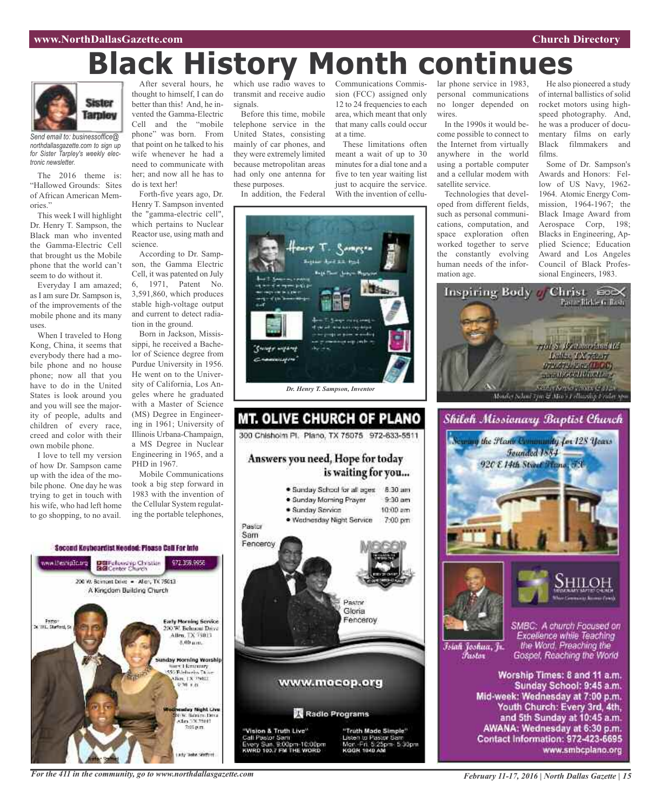## Communications Commis-**Black History Month continues**

at a time.

These limitations often meant a wait of up to 30 minutes for a dial tone and a five to ten year waiting list just to acquire the service. With the invention of cellu-



*Send email to: businessoffice@ northdallasgazette.com to sign up for Sister Tarpley's weekly electronic newsletter.*

The 2016 theme is: "Hallowed Grounds: Sites of African American Memories."

This week I will highlight Dr. Henry T. Sampson, the Black man who invented the Gamma-Electric Cell that brought us the Mobile phone that the world can't seem to do without it.

Everyday I am amazed; as I am sure Dr. Sampson is, of the improvements of the mobile phone and its many uses.

When I traveled to Hong Kong, China, it seems that everybody there had a mobile phone and no house phone; now all that you have to do in the United States is look around you and you will see the majority of people, adults and children of every race, creed and color with their own mobile phone.

I love to tell my version of how Dr. Sampson came up with the idea of the mobile phone. One day he was trying to get in touch with his wife, who had left home to go shopping, to no avail.

After several hours, he thought to himself, I can do better than this! And, he invented the Gamma-Electric Cell and the "mobile phone" was born. From that point on he talked to his wife whenever he had a need to communicate with her; and now all he has to do is text her!

Forth-five years ago, Dr. Henry T. Sampson invented the "gamma-electric cell", which pertains to Nuclear Reactor use, using math and science.

According to Dr. Sampson, the Gamma Electric Cell, it was patented on July 6, 1971, Patent No. 3,591,860, which produces stable high-voltage output and current to detect radia-

tion in the ground. Born in Jackson, Mississippi, he received a Bachelor of Science degree from Purdue University in 1956. He went on to the University of California, Los Angeles where he graduated with a Master of Science (MS) Degree in Engineering in 1961; University of Illinois Urbana-Champaign, a MS Degree in Nuclear Engineering in 1965, and a PHD in 1967.

Mobile Communications took a big step forward in 1983 with the invention of the Cellular System regulating the portable telephones,

which use radio waves to transmit and receive audio signals. Before this time, mobile

telephone service in the United States, consisting mainly of car phones, and they were extremely limited because metropolitan areas had only one antenna for these purposes.

In addition, the Federal



#### **MT. OLIVE CHURCH OF PLANO** 300 Chisholm Pl. Plano, TX 75075 972-633-5511 Answers you need, Hope for today is waiting for you... · Sunday School for all ages 8:30 am · Sunday Morning Prayer  $9.30$  am · Sunday Service  $10:00$  am · Wednesday Night Service 7:00 pm Pastor Sam Fenceroy **RATIVE** Gloria Fenceroy www.mocop.org Radio Programs "Vision & Truth Live" "Truth Made Simple" Jisten to Pastor San Call Pastor Sam ry Sun. 9:00pm-10:00pm<br>RD 103.7 FM THE WORD Mor. Fri. 5:25pm. 5:30pm<br>коон 1040 AM

sion (FCC) assigned only 12 to 24 frequencies to each area, which meant that only that many calls could occur lar phone service in 1983, personal communications no longer depended on wires.

In the 1990s it would become possible to connect to the Internet from virtually anywhere in the world using a portable computer and a cellular modem with satellite service.

Technologies that developed from different fields, such as personal communications, computation, and space exploration often worked together to serve the constantly evolving human needs of the information age.

He also pioneered a study of internal ballistics of solid rocket motors using highspeed photography. And, he was a producer of documentary films on early Black filmmakers and films.

Some of Dr. Sampson's Awards and Honors: Fellow of US Navy, 1962- 1964. Atomic Energy Commission, 1964-1967; the Black Image Award from Aerospace Corp, 198; Blacks in Engineering, Applied Science; Education Award and Los Angeles Council of Black Professional Engineers, 1983.







Islah Joshua, Jr. Fustor

SMBC: A church Focused on Excellence while Teaching the Word. Preaching the Gospel, Reaching the World

Worship Times: 8 and 11 a.m. Sunday School: 9:45 a.m. Mid-week: Wednesday at 7:00 p.m. Youth Church: Every 3rd, 4th, and 5th Sunday at 10:45 a.m. AWANA: Wednesday at 6:30 p.m. Contact Information: 972-423-6695 www.smbcplano.org

#### Second Keybeardist Needed: Please Call For Into www.thesnip.tic.org DBFelowskip Christian<br>BGConter Church 977 778 0058 200 W. Bernont Dove - Allery, TX 75013 A Kingdom Building Church **Early Morning Service** Fasto"<br>Surfact, S 200 W. Behueni Drive Allen, TX 75013 8.00 um. unday Morning Worship Stereo Librariary<br>SSO Babbaros Thom 9:30 1.01 **Manday Night Live**<br>NGC 160120 Dity<br>Alm 1003201 arty Tashe Grafford

*For the 411 in the community, go to www.northdallasgazette.com*